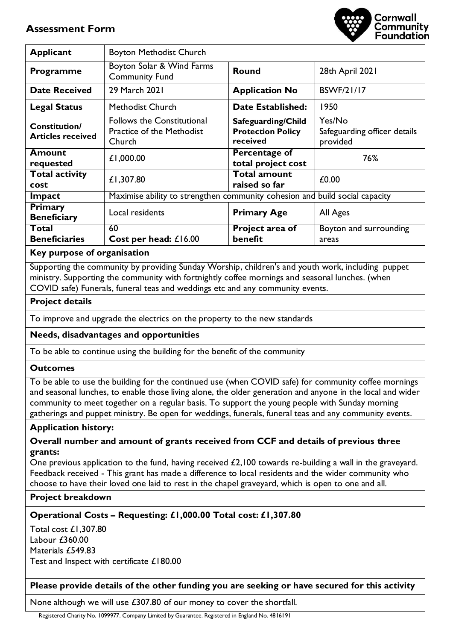# **Assessment Form**



| <b>Applicant</b>                                 | <b>Boyton Methodist Church</b>                                                  |                                                            |                                                    |  |
|--------------------------------------------------|---------------------------------------------------------------------------------|------------------------------------------------------------|----------------------------------------------------|--|
| <b>Programme</b>                                 | Boyton Solar & Wind Farms<br><b>Community Fund</b>                              | <b>Round</b><br>28th April 2021                            |                                                    |  |
| <b>Date Received</b>                             | 29 March 2021                                                                   | <b>BSWF/21/17</b><br><b>Application No</b>                 |                                                    |  |
| <b>Legal Status</b>                              | Methodist Church                                                                | 1950<br><b>Date Established:</b>                           |                                                    |  |
| <b>Constitution/</b><br><b>Articles received</b> | <b>Follows the Constitutional</b><br><b>Practice of the Methodist</b><br>Church | Safeguarding/Child<br><b>Protection Policy</b><br>received | Yes/No<br>Safeguarding officer details<br>provided |  |
| Amount<br>requested                              | £1,000.00                                                                       | Percentage of<br>total project cost                        | 76%                                                |  |
| <b>Total activity</b><br>cost                    | £1,307.80                                                                       | <b>Total amount</b><br>raised so far                       | £0.00                                              |  |
| Impact                                           | Maximise ability to strengthen community cohesion and build social capacity     |                                                            |                                                    |  |
| <b>Primary</b><br><b>Beneficiary</b>             | Local residents                                                                 | <b>Primary Age</b>                                         | All Ages                                           |  |
| Total                                            | 60                                                                              | Project area of                                            | Boyton and surrounding                             |  |
| <b>Beneficiaries</b>                             | Cost per head: £16.00                                                           | benefit                                                    | areas                                              |  |
| . .                                              |                                                                                 |                                                            |                                                    |  |

#### **Key purpose of organisation**

Supporting the community by providing Sunday Worship, children's and youth work, including puppet ministry. Supporting the community with fortnightly coffee mornings and seasonal lunches. (when COVID safe) Funerals, funeral teas and weddings etc and any community events.

# **Project details**

To improve and upgrade the electrics on the property to the new standards

# **Needs, disadvantages and opportunities**

To be able to continue using the building for the benefit of the community

# **Outcomes**

To be able to use the building for the continued use (when COVID safe) for community coffee mornings and seasonal lunches, to enable those living alone, the older generation and anyone in the local and wider community to meet together on a regular basis. To support the young people with Sunday morning gatherings and puppet ministry. Be open for weddings, funerals, funeral teas and any community events.

# **Application history:**

**Overall number and amount of grants received from CCF and details of previous three grants:** 

One previous application to the fund, having received £2,100 towards re-building a wall in the graveyard. Feedback received - This grant has made a difference to local residents and the wider community who choose to have their loved one laid to rest in the chapel graveyard, which is open to one and all.

# **Project breakdown**

# **Operational Costs – Requesting: £1,000.00 Total cost: £1,307.80**

Total cost £1,307.80 Labour £360.00 Materials £549.83 Test and Inspect with certificate £180.00

**Please provide details of the other funding you are seeking or have secured for this activity** 

None although we will use £307.80 of our money to cover the shortfall.

Registered Charity No. 1099977. Company Limited by Guarantee. Registered in England No. 4816191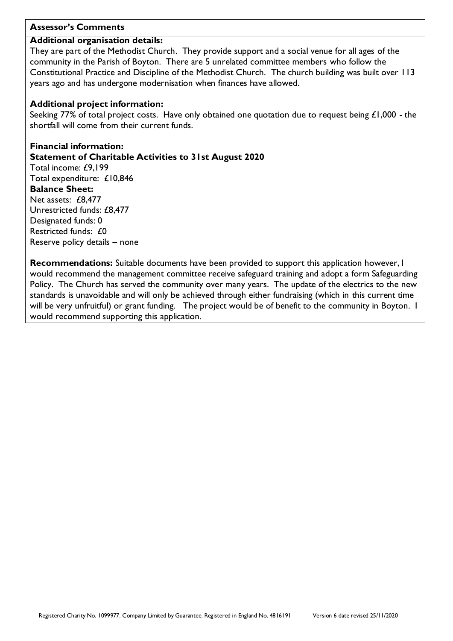# **Assessor's Comments**

# **Additional organisation details:**

They are part of the Methodist Church. They provide support and a social venue for all ages of the community in the Parish of Boyton. There are 5 unrelated committee members who follow the Constitutional Practice and Discipline of the Methodist Church. The church building was built over 113 years ago and has undergone modernisation when finances have allowed.

# **Additional project information:**

Seeking 77% of total project costs. Have only obtained one quotation due to request being £1,000 - the shortfall will come from their current funds.

**Financial information: Statement of Charitable Activities to 31st August 2020**  Total income: £9,199 Total expenditure: £10,846 **Balance Sheet:**  Net assets: £8,477 Unrestricted funds: £8,477 Designated funds: 0 Restricted funds: £0 Reserve policy details – none

**Recommendations:** Suitable documents have been provided to support this application however, I would recommend the management committee receive safeguard training and adopt a form Safeguarding Policy. The Church has served the community over many years. The update of the electrics to the new standards is unavoidable and will only be achieved through either fundraising (which in this current time will be very unfruitful) or grant funding. The project would be of benefit to the community in Boyton. I would recommend supporting this application.